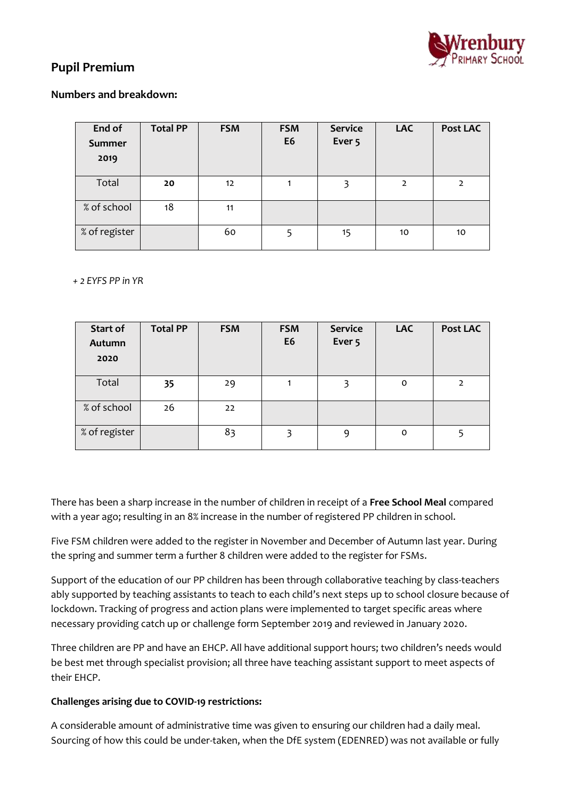

# **Pupil Premium**

### **Numbers and breakdown:**

| End of<br><b>Summer</b><br>2019 | <b>Total PP</b> | <b>FSM</b> | <b>FSM</b><br>E <sub>6</sub> | <b>Service</b><br>Ever <sub>5</sub> | <b>LAC</b>     | <b>Post LAC</b> |
|---------------------------------|-----------------|------------|------------------------------|-------------------------------------|----------------|-----------------|
| Total                           | 20              | 12         |                              | 3                                   | $\overline{2}$ | $\mathcal{P}$   |
| % of school                     | 18              | 11         |                              |                                     |                |                 |
| % of register                   |                 | 60         | 5                            | 15                                  | 10             | 10              |

 *+ 2 EYFS PP in YR*

| Start of<br>Autumn<br>2020 | <b>Total PP</b> | <b>FSM</b> | <b>FSM</b><br>E <sub>6</sub> | <b>Service</b><br>Ever <sub>5</sub> | <b>LAC</b>  | <b>Post LAC</b> |
|----------------------------|-----------------|------------|------------------------------|-------------------------------------|-------------|-----------------|
| Total                      | 35              | 29         | 1                            | 3                                   | $\mathbf 0$ | $\mathcal{P}$   |
| % of school                | 26              | 22         |                              |                                     |             |                 |
| % of register              |                 | 83         | 3                            | 9                                   | $\mathbf 0$ |                 |

There has been a sharp increase in the number of children in receipt of a **Free School Meal** compared with a year ago; resulting in an 8% increase in the number of registered PP children in school.

Five FSM children were added to the register in November and December of Autumn last year. During the spring and summer term a further 8 children were added to the register for FSMs.

Support of the education of our PP children has been through collaborative teaching by class-teachers ably supported by teaching assistants to teach to each child's next steps up to school closure because of lockdown. Tracking of progress and action plans were implemented to target specific areas where necessary providing catch up or challenge form September 2019 and reviewed in January 2020.

Three children are PP and have an EHCP. All have additional support hours; two children's needs would be best met through specialist provision; all three have teaching assistant support to meet aspects of their EHCP.

#### **Challenges arising due to COVID-19 restrictions:**

A considerable amount of administrative time was given to ensuring our children had a daily meal. Sourcing of how this could be under-taken, when the DfE system (EDENRED) was not available or fully